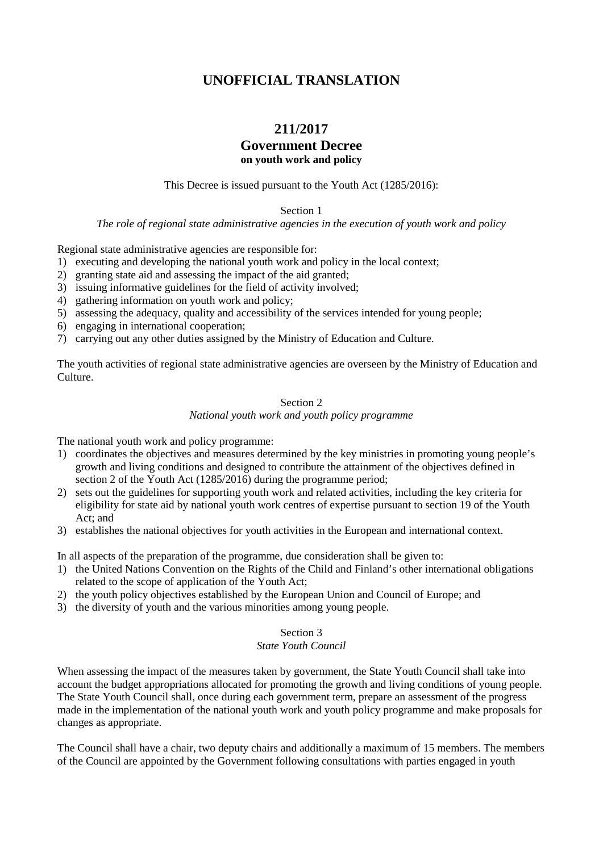# **UNOFFICIAL TRANSLATION**

# **211/2017**

## **Government Decree on youth work and policy**

This Decree is issued pursuant to the Youth Act (1285/2016):

Section 1

*The role of regional state administrative agencies in the execution of youth work and policy*

Regional state administrative agencies are responsible for:

1) executing and developing the national youth work and policy in the local context;

2) granting state aid and assessing the impact of the aid granted;

- 3) issuing informative guidelines for the field of activity involved;
- 4) gathering information on youth work and policy;
- 5) assessing the adequacy, quality and accessibility of the services intended for young people;
- 6) engaging in international cooperation;
- 7) carrying out any other duties assigned by the Ministry of Education and Culture.

The youth activities of regional state administrative agencies are overseen by the Ministry of Education and Culture.

#### Section 2

#### *National youth work and youth policy programme*

The national youth work and policy programme:

- 1) coordinates the objectives and measures determined by the key ministries in promoting young people's growth and living conditions and designed to contribute the attainment of the objectives defined in section 2 of the Youth Act (1285/2016) during the programme period;
- 2) sets out the guidelines for supporting youth work and related activities, including the key criteria for eligibility for state aid by national youth work centres of expertise pursuant to section 19 of the Youth Act; and
- 3) establishes the national objectives for youth activities in the European and international context.

In all aspects of the preparation of the programme, due consideration shall be given to:

- 1) the United Nations Convention on the Rights of the Child and Finland's other international obligations related to the scope of application of the Youth Act;
- 2) the youth policy objectives established by the European Union and Council of Europe; and
- 3) the diversity of youth and the various minorities among young people.

#### Section 3

#### *State Youth Council*

When assessing the impact of the measures taken by government, the State Youth Council shall take into account the budget appropriations allocated for promoting the growth and living conditions of young people. The State Youth Council shall, once during each government term, prepare an assessment of the progress made in the implementation of the national youth work and youth policy programme and make proposals for changes as appropriate.

The Council shall have a chair, two deputy chairs and additionally a maximum of 15 members. The members of the Council are appointed by the Government following consultations with parties engaged in youth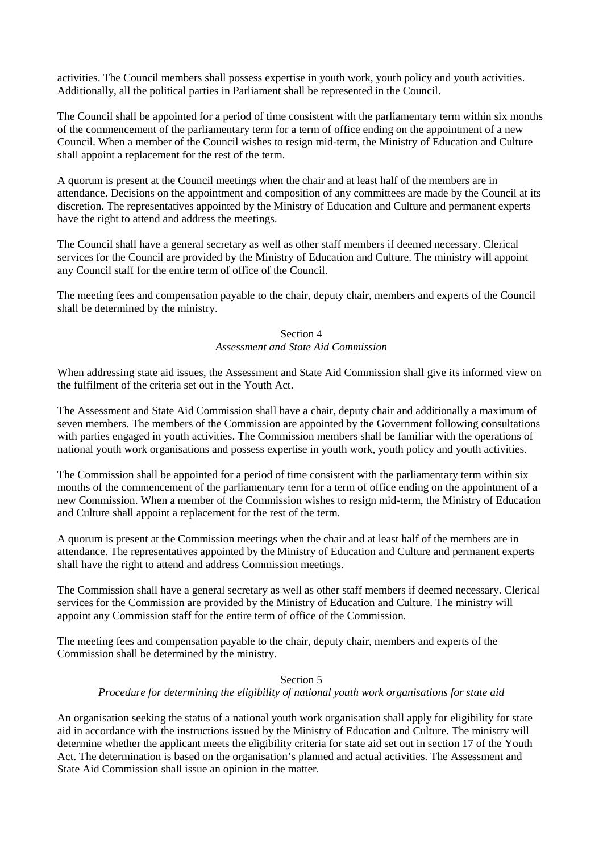activities. The Council members shall possess expertise in youth work, youth policy and youth activities. Additionally, all the political parties in Parliament shall be represented in the Council.

The Council shall be appointed for a period of time consistent with the parliamentary term within six months of the commencement of the parliamentary term for a term of office ending on the appointment of a new Council. When a member of the Council wishes to resign mid-term, the Ministry of Education and Culture shall appoint a replacement for the rest of the term.

A quorum is present at the Council meetings when the chair and at least half of the members are in attendance. Decisions on the appointment and composition of any committees are made by the Council at its discretion. The representatives appointed by the Ministry of Education and Culture and permanent experts have the right to attend and address the meetings.

The Council shall have a general secretary as well as other staff members if deemed necessary. Clerical services for the Council are provided by the Ministry of Education and Culture. The ministry will appoint any Council staff for the entire term of office of the Council.

The meeting fees and compensation payable to the chair, deputy chair, members and experts of the Council shall be determined by the ministry.

## Section 4 *Assessment and State Aid Commission*

When addressing state aid issues, the Assessment and State Aid Commission shall give its informed view on the fulfilment of the criteria set out in the Youth Act.

The Assessment and State Aid Commission shall have a chair, deputy chair and additionally a maximum of seven members. The members of the Commission are appointed by the Government following consultations with parties engaged in youth activities. The Commission members shall be familiar with the operations of national youth work organisations and possess expertise in youth work, youth policy and youth activities.

The Commission shall be appointed for a period of time consistent with the parliamentary term within six months of the commencement of the parliamentary term for a term of office ending on the appointment of a new Commission. When a member of the Commission wishes to resign mid-term, the Ministry of Education and Culture shall appoint a replacement for the rest of the term.

A quorum is present at the Commission meetings when the chair and at least half of the members are in attendance. The representatives appointed by the Ministry of Education and Culture and permanent experts shall have the right to attend and address Commission meetings.

The Commission shall have a general secretary as well as other staff members if deemed necessary. Clerical services for the Commission are provided by the Ministry of Education and Culture. The ministry will appoint any Commission staff for the entire term of office of the Commission.

The meeting fees and compensation payable to the chair, deputy chair, members and experts of the Commission shall be determined by the ministry.

## Section 5

## *Procedure for determining the eligibility of national youth work organisations for state aid*

An organisation seeking the status of a national youth work organisation shall apply for eligibility for state aid in accordance with the instructions issued by the Ministry of Education and Culture. The ministry will determine whether the applicant meets the eligibility criteria for state aid set out in section 17 of the Youth Act. The determination is based on the organisation's planned and actual activities. The Assessment and State Aid Commission shall issue an opinion in the matter.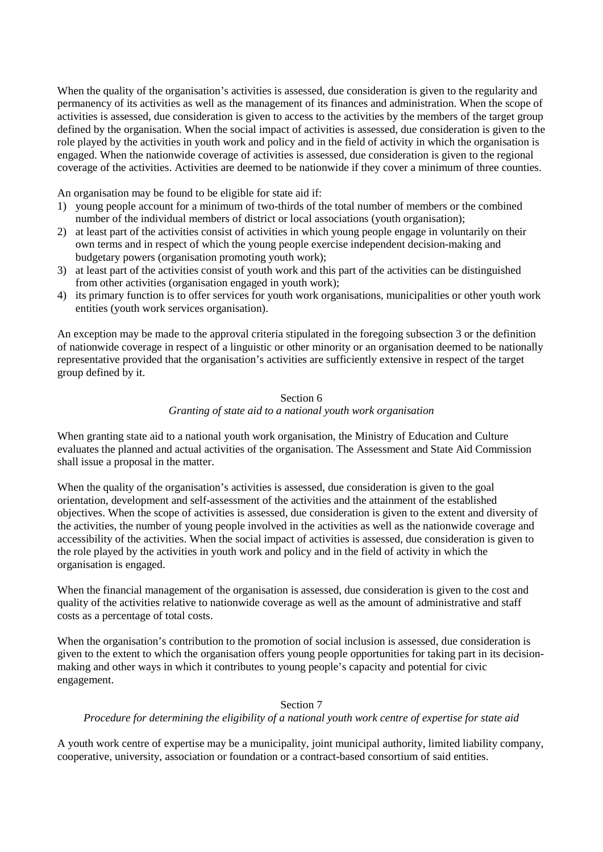When the quality of the organisation's activities is assessed, due consideration is given to the regularity and permanency of its activities as well as the management of its finances and administration. When the scope of activities is assessed, due consideration is given to access to the activities by the members of the target group defined by the organisation. When the social impact of activities is assessed, due consideration is given to the role played by the activities in youth work and policy and in the field of activity in which the organisation is engaged. When the nationwide coverage of activities is assessed, due consideration is given to the regional coverage of the activities. Activities are deemed to be nationwide if they cover a minimum of three counties.

An organisation may be found to be eligible for state aid if:

- 1) young people account for a minimum of two-thirds of the total number of members or the combined number of the individual members of district or local associations (youth organisation);
- 2) at least part of the activities consist of activities in which young people engage in voluntarily on their own terms and in respect of which the young people exercise independent decision-making and budgetary powers (organisation promoting youth work);
- 3) at least part of the activities consist of youth work and this part of the activities can be distinguished from other activities (organisation engaged in youth work);
- 4) its primary function is to offer services for youth work organisations, municipalities or other youth work entities (youth work services organisation).

An exception may be made to the approval criteria stipulated in the foregoing subsection 3 or the definition of nationwide coverage in respect of a linguistic or other minority or an organisation deemed to be nationally representative provided that the organisation's activities are sufficiently extensive in respect of the target group defined by it.

#### Section 6 *Granting of state aid to a national youth work organisation*

When granting state aid to a national youth work organisation, the Ministry of Education and Culture evaluates the planned and actual activities of the organisation. The Assessment and State Aid Commission shall issue a proposal in the matter.

When the quality of the organisation's activities is assessed, due consideration is given to the goal orientation, development and self-assessment of the activities and the attainment of the established objectives. When the scope of activities is assessed, due consideration is given to the extent and diversity of the activities, the number of young people involved in the activities as well as the nationwide coverage and accessibility of the activities. When the social impact of activities is assessed, due consideration is given to the role played by the activities in youth work and policy and in the field of activity in which the organisation is engaged.

When the financial management of the organisation is assessed, due consideration is given to the cost and quality of the activities relative to nationwide coverage as well as the amount of administrative and staff costs as a percentage of total costs.

When the organisation's contribution to the promotion of social inclusion is assessed, due consideration is given to the extent to which the organisation offers young people opportunities for taking part in its decisionmaking and other ways in which it contributes to young people's capacity and potential for civic engagement.

## Section 7

*Procedure for determining the eligibility of a national youth work centre of expertise for state aid*

A youth work centre of expertise may be a municipality, joint municipal authority, limited liability company, cooperative, university, association or foundation or a contract-based consortium of said entities.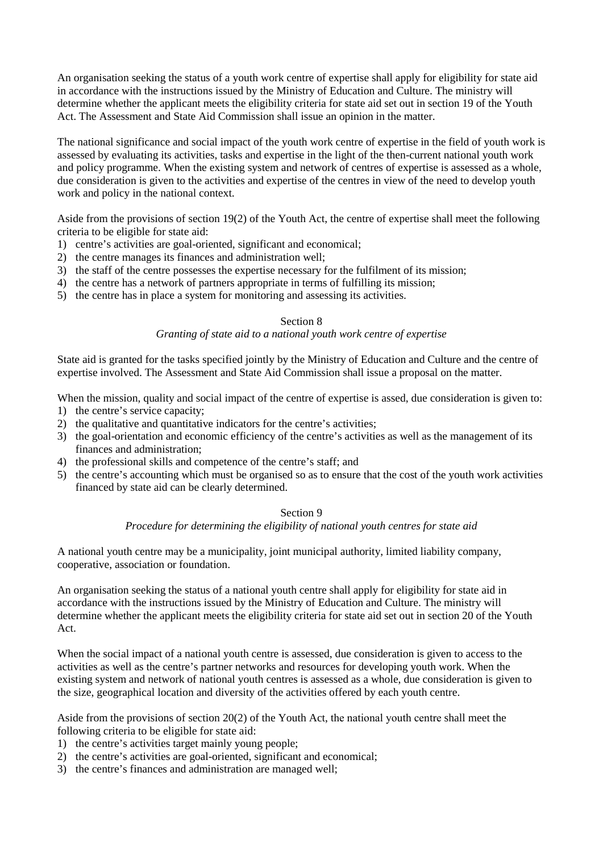An organisation seeking the status of a youth work centre of expertise shall apply for eligibility for state aid in accordance with the instructions issued by the Ministry of Education and Culture. The ministry will determine whether the applicant meets the eligibility criteria for state aid set out in section 19 of the Youth Act. The Assessment and State Aid Commission shall issue an opinion in the matter.

The national significance and social impact of the youth work centre of expertise in the field of youth work is assessed by evaluating its activities, tasks and expertise in the light of the then-current national youth work and policy programme. When the existing system and network of centres of expertise is assessed as a whole, due consideration is given to the activities and expertise of the centres in view of the need to develop youth work and policy in the national context.

Aside from the provisions of section 19(2) of the Youth Act, the centre of expertise shall meet the following criteria to be eligible for state aid:

- 1) centre's activities are goal-oriented, significant and economical;
- 2) the centre manages its finances and administration well;
- 3) the staff of the centre possesses the expertise necessary for the fulfilment of its mission;
- 4) the centre has a network of partners appropriate in terms of fulfilling its mission;
- 5) the centre has in place a system for monitoring and assessing its activities.

#### Section 8

## *Granting of state aid to a national youth work centre of expertise*

State aid is granted for the tasks specified jointly by the Ministry of Education and Culture and the centre of expertise involved. The Assessment and State Aid Commission shall issue a proposal on the matter.

When the mission, quality and social impact of the centre of expertise is assed, due consideration is given to:

- 1) the centre's service capacity;
- 2) the qualitative and quantitative indicators for the centre's activities;
- 3) the goal-orientation and economic efficiency of the centre's activities as well as the management of its finances and administration;
- 4) the professional skills and competence of the centre's staff; and
- 5) the centre's accounting which must be organised so as to ensure that the cost of the youth work activities financed by state aid can be clearly determined.

#### Section 9

#### *Procedure for determining the eligibility of national youth centres for state aid*

A national youth centre may be a municipality, joint municipal authority, limited liability company, cooperative, association or foundation.

An organisation seeking the status of a national youth centre shall apply for eligibility for state aid in accordance with the instructions issued by the Ministry of Education and Culture. The ministry will determine whether the applicant meets the eligibility criteria for state aid set out in section 20 of the Youth Act.

When the social impact of a national youth centre is assessed, due consideration is given to access to the activities as well as the centre's partner networks and resources for developing youth work. When the existing system and network of national youth centres is assessed as a whole, due consideration is given to the size, geographical location and diversity of the activities offered by each youth centre.

Aside from the provisions of section 20(2) of the Youth Act, the national youth centre shall meet the following criteria to be eligible for state aid:

- 1) the centre's activities target mainly young people;
- 2) the centre's activities are goal-oriented, significant and economical;
- 3) the centre's finances and administration are managed well;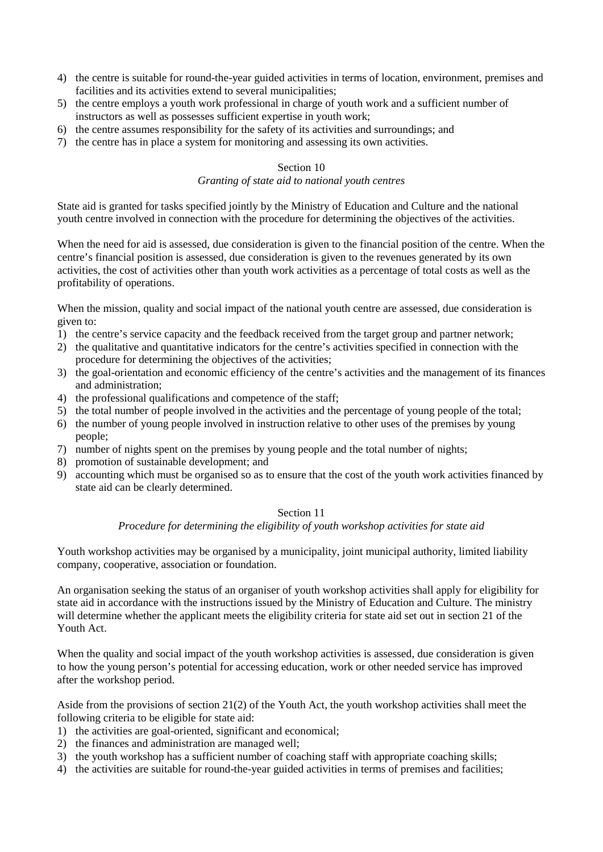- 4) the centre is suitable for round-the-year guided activities in terms of location, environment, premises and facilities and its activities extend to several municipalities;
- 5) the centre employs a youth work professional in charge of youth work and a sufficient number of instructors as well as possesses sufficient expertise in youth work;
- 6) the centre assumes responsibility for the safety of its activities and surroundings; and
- 7) the centre has in place a system for monitoring and assessing its own activities.

#### Section 10

## *Granting of state aid to national youth centres*

State aid is granted for tasks specified jointly by the Ministry of Education and Culture and the national youth centre involved in connection with the procedure for determining the objectives of the activities.

When the need for aid is assessed, due consideration is given to the financial position of the centre. When the centre's financial position is assessed, due consideration is given to the revenues generated by its own activities, the cost of activities other than youth work activities as a percentage of total costs as well as the profitability of operations.

When the mission, quality and social impact of the national youth centre are assessed, due consideration is given to:

- 1) the centre's service capacity and the feedback received from the target group and partner network;
- 2) the qualitative and quantitative indicators for the centre's activities specified in connection with the procedure for determining the objectives of the activities;
- 3) the goal-orientation and economic efficiency of the centre's activities and the management of its finances and administration;
- 4) the professional qualifications and competence of the staff;
- 5) the total number of people involved in the activities and the percentage of young people of the total;
- 6) the number of young people involved in instruction relative to other uses of the premises by young people;
- 7) number of nights spent on the premises by young people and the total number of nights;
- 8) promotion of sustainable development; and
- 9) accounting which must be organised so as to ensure that the cost of the youth work activities financed by state aid can be clearly determined.

#### Section 11

#### *Procedure for determining the eligibility of youth workshop activities for state aid*

Youth workshop activities may be organised by a municipality, joint municipal authority, limited liability company, cooperative, association or foundation.

An organisation seeking the status of an organiser of youth workshop activities shall apply for eligibility for state aid in accordance with the instructions issued by the Ministry of Education and Culture. The ministry will determine whether the applicant meets the eligibility criteria for state aid set out in section 21 of the Youth Act.

When the quality and social impact of the youth workshop activities is assessed, due consideration is given to how the young person's potential for accessing education, work or other needed service has improved after the workshop period.

Aside from the provisions of section 21(2) of the Youth Act, the youth workshop activities shall meet the following criteria to be eligible for state aid:

- 1) the activities are goal-oriented, significant and economical;
- 2) the finances and administration are managed well;
- 3) the youth workshop has a sufficient number of coaching staff with appropriate coaching skills;
- 4) the activities are suitable for round-the-year guided activities in terms of premises and facilities;